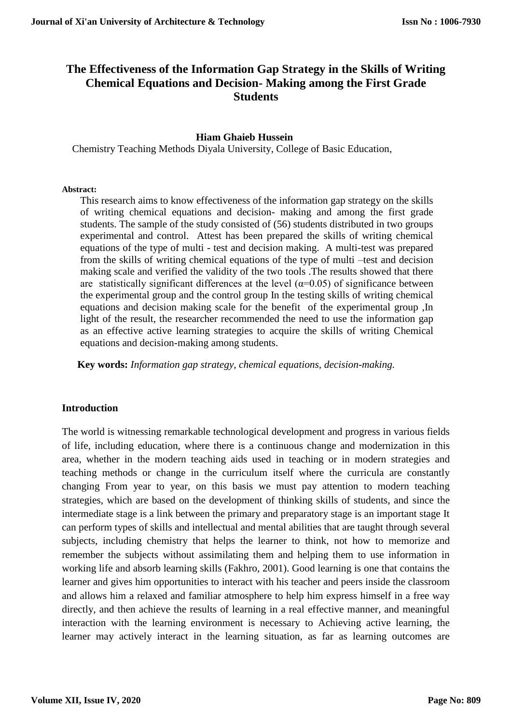# **The Effectiveness of the Information Gap Strategy in the Skills of Writing Chemical Equations and Decision- Making among the First Grade Students**

#### **Hiam Ghaieb Hussein**

Chemistry Teaching Methods Diyala University, College of Basic Education,

#### **Abstract:**

This research aims to know effectiveness of the information gap strategy on the skills of writing chemical equations and decision- making and among the first grade students. The sample of the study consisted of (56) students distributed in two groups experimental and control. Attest has been prepared the skills of writing chemical equations of the type of multi - test and decision making. A multi-test was prepared from the skills of writing chemical equations of the type of multi –test and decision making scale and verified the validity of the two tools .The results showed that there are statistically significant differences at the level ( $\alpha$ =0.05) of significance between the experimental group and the control group In the testing skills of writing chemical equations and decision making scale for the benefit of the experimental group ,In light of the result, the researcher recommended the need to use the information gap as an effective active learning strategies to acquire the skills of writing Chemical equations and decision-making among students.

**Key words:** *Information gap strategy, chemical equations, decision-making.*

#### **Introduction**

The world is witnessing remarkable technological development and progress in various fields of life, including education, where there is a continuous change and modernization in this area, whether in the modern teaching aids used in teaching or in modern strategies and teaching methods or change in the curriculum itself where the curricula are constantly changing From year to year, on this basis we must pay attention to modern teaching strategies, which are based on the development of thinking skills of students, and since the intermediate stage is a link between the primary and preparatory stage is an important stage It can perform types of skills and intellectual and mental abilities that are taught through several subjects, including chemistry that helps the learner to think, not how to memorize and remember the subjects without assimilating them and helping them to use information in working life and absorb learning skills (Fakhro, 2001). Good learning is one that contains the learner and gives him opportunities to interact with his teacher and peers inside the classroom and allows him a relaxed and familiar atmosphere to help him express himself in a free way directly, and then achieve the results of learning in a real effective manner, and meaningful interaction with the learning environment is necessary to Achieving active learning, the learner may actively interact in the learning situation, as far as learning outcomes are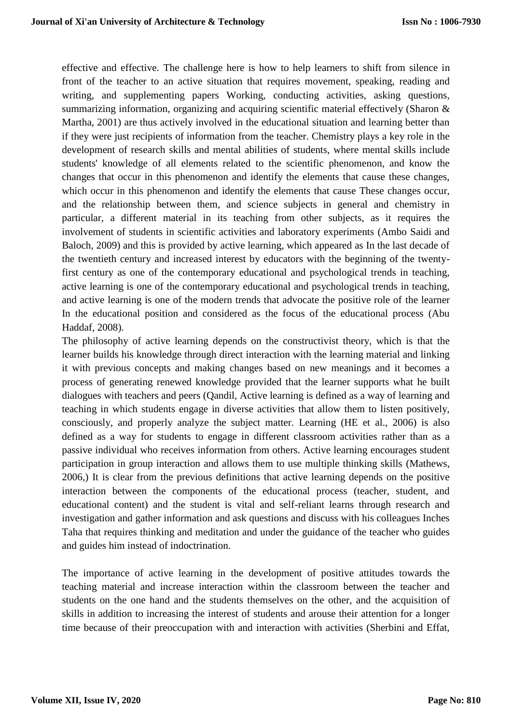effective and effective. The challenge here is how to help learners to shift from silence in front of the teacher to an active situation that requires movement, speaking, reading and writing, and supplementing papers Working, conducting activities, asking questions, summarizing information, organizing and acquiring scientific material effectively (Sharon & Martha, 2001) are thus actively involved in the educational situation and learning better than if they were just recipients of information from the teacher. Chemistry plays a key role in the development of research skills and mental abilities of students, where mental skills include students' knowledge of all elements related to the scientific phenomenon, and know the changes that occur in this phenomenon and identify the elements that cause these changes, which occur in this phenomenon and identify the elements that cause These changes occur, and the relationship between them, and science subjects in general and chemistry in particular, a different material in its teaching from other subjects, as it requires the involvement of students in scientific activities and laboratory experiments (Ambo Saidi and Baloch, 2009) and this is provided by active learning, which appeared as In the last decade of the twentieth century and increased interest by educators with the beginning of the twentyfirst century as one of the contemporary educational and psychological trends in teaching, active learning is one of the contemporary educational and psychological trends in teaching, and active learning is one of the modern trends that advocate the positive role of the learner In the educational position and considered as the focus of the educational process (Abu Haddaf, 2008).

The philosophy of active learning depends on the constructivist theory, which is that the learner builds his knowledge through direct interaction with the learning material and linking it with previous concepts and making changes based on new meanings and it becomes a process of generating renewed knowledge provided that the learner supports what he built dialogues with teachers and peers (Qandil, Active learning is defined as a way of learning and teaching in which students engage in diverse activities that allow them to listen positively, consciously, and properly analyze the subject matter. Learning (HE et al., 2006) is also defined as a way for students to engage in different classroom activities rather than as a passive individual who receives information from others. Active learning encourages student participation in group interaction and allows them to use multiple thinking skills (Mathews, 2006,) It is clear from the previous definitions that active learning depends on the positive interaction between the components of the educational process (teacher, student, and educational content) and the student is vital and self-reliant learns through research and investigation and gather information and ask questions and discuss with his colleagues Inches Taha that requires thinking and meditation and under the guidance of the teacher who guides and guides him instead of indoctrination.

The importance of active learning in the development of positive attitudes towards the teaching material and increase interaction within the classroom between the teacher and students on the one hand and the students themselves on the other, and the acquisition of skills in addition to increasing the interest of students and arouse their attention for a longer time because of their preoccupation with and interaction with activities (Sherbini and Effat,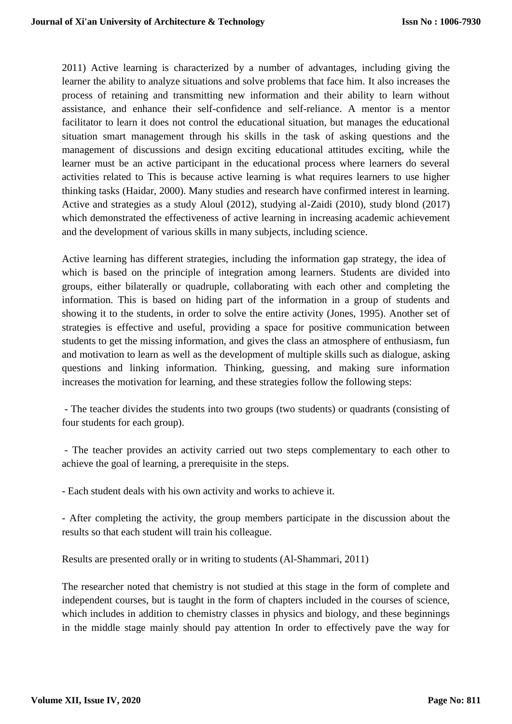2011) Active learning is characterized by a number of advantages, including giving the learner the ability to analyze situations and solve problems that face him. It also increases the process of retaining and transmitting new information and their ability to learn without assistance, and enhance their self-confidence and self-reliance. A mentor is a mentor facilitator to learn it does not control the educational situation, but manages the educational situation smart management through his skills in the task of asking questions and the management of discussions and design exciting educational attitudes exciting, while the learner must be an active participant in the educational process where learners do several activities related to This is because active learning is what requires learners to use higher thinking tasks (Haidar, 2000). Many studies and research have confirmed interest in learning. Active and strategies as a study Aloul (2012), studying al-Zaidi (2010), study blond (2017) which demonstrated the effectiveness of active learning in increasing academic achievement and the development of various skills in many subjects, including science.

Active learning has different strategies, including the information gap strategy, the idea of which is based on the principle of integration among learners. Students are divided into groups, either bilaterally or quadruple, collaborating with each other and completing the information. This is based on hiding part of the information in a group of students and showing it to the students, in order to solve the entire activity (Jones, 1995). Another set of strategies is effective and useful, providing a space for positive communication between students to get the missing information, and gives the class an atmosphere of enthusiasm, fun and motivation to learn as well as the development of multiple skills such as dialogue, asking questions and linking information. Thinking, guessing, and making sure information increases the motivation for learning, and these strategies follow the following steps:

- The teacher divides the students into two groups (two students) or quadrants (consisting of four students for each group).

- The teacher provides an activity carried out two steps complementary to each other to achieve the goal of learning, a prerequisite in the steps.

- Each student deals with his own activity and works to achieve it.

- After completing the activity, the group members participate in the discussion about the results so that each student will train his colleague.

Results are presented orally or in writing to students (Al-Shammari, 2011)

The researcher noted that chemistry is not studied at this stage in the form of complete and independent courses, but is taught in the form of chapters included in the courses of science, which includes in addition to chemistry classes in physics and biology, and these beginnings in the middle stage mainly should pay attention In order to effectively pave the way for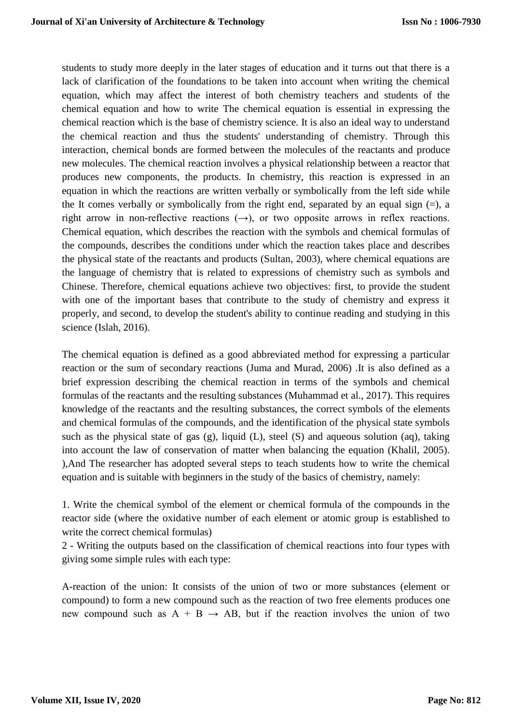students to study more deeply in the later stages of education and it turns out that there is a lack of clarification of the foundations to be taken into account when writing the chemical equation, which may affect the interest of both chemistry teachers and students of the chemical equation and how to write The chemical equation is essential in expressing the chemical reaction which is the base of chemistry science. It is also an ideal way to understand the chemical reaction and thus the students' understanding of chemistry. Through this interaction, chemical bonds are formed between the molecules of the reactants and produce new molecules. The chemical reaction involves a physical relationship between a reactor that produces new components, the products. In chemistry, this reaction is expressed in an equation in which the reactions are written verbally or symbolically from the left side while the It comes verbally or symbolically from the right end, separated by an equal sign  $(=)$ , a right arrow in non-reflective reactions  $(\rightarrow)$ , or two opposite arrows in reflex reactions. Chemical equation, which describes the reaction with the symbols and chemical formulas of the compounds, describes the conditions under which the reaction takes place and describes the physical state of the reactants and products (Sultan, 2003), where chemical equations are the language of chemistry that is related to expressions of chemistry such as symbols and Chinese. Therefore, chemical equations achieve two objectives: first, to provide the student with one of the important bases that contribute to the study of chemistry and express it properly, and second, to develop the student's ability to continue reading and studying in this science (Islah, 2016).

The chemical equation is defined as a good abbreviated method for expressing a particular reaction or the sum of secondary reactions (Juma and Murad, 2006) .It is also defined as a brief expression describing the chemical reaction in terms of the symbols and chemical formulas of the reactants and the resulting substances (Muhammad et al., 2017). This requires knowledge of the reactants and the resulting substances, the correct symbols of the elements and chemical formulas of the compounds, and the identification of the physical state symbols such as the physical state of gas (g), liquid (L), steel (S) and aqueous solution (aq), taking into account the law of conservation of matter when balancing the equation (Khalil, 2005). ),And The researcher has adopted several steps to teach students how to write the chemical equation and is suitable with beginners in the study of the basics of chemistry, namely:

1. Write the chemical symbol of the element or chemical formula of the compounds in the reactor side (where the oxidative number of each element or atomic group is established to write the correct chemical formulas)

2 - Writing the outputs based on the classification of chemical reactions into four types with giving some simple rules with each type:

A-reaction of the union: It consists of the union of two or more substances (element or compound) to form a new compound such as the reaction of two free elements produces one new compound such as  $A + B \rightarrow AB$ , but if the reaction involves the union of two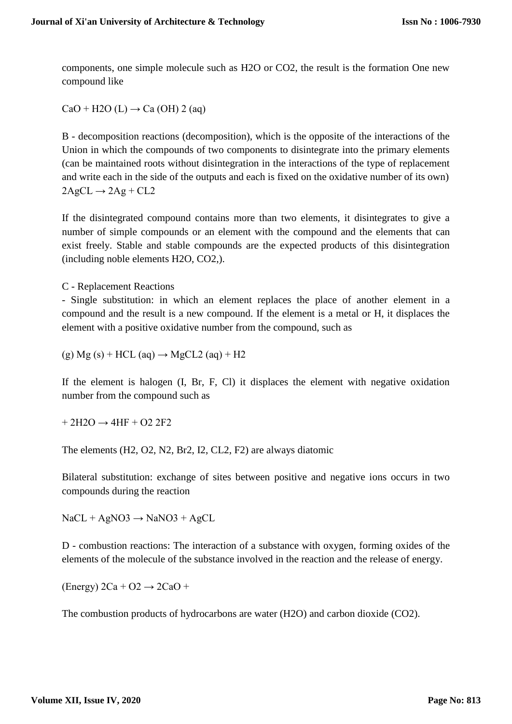components, one simple molecule such as H2O or CO2, the result is the formation One new compound like

 $CaO + H2O (L) \rightarrow Ca (OH) 2 (aq)$ 

B - decomposition reactions (decomposition), which is the opposite of the interactions of the Union in which the compounds of two components to disintegrate into the primary elements (can be maintained roots without disintegration in the interactions of the type of replacement and write each in the side of the outputs and each is fixed on the oxidative number of its own)  $2AgCL \rightarrow 2Ag + CL2$ 

If the disintegrated compound contains more than two elements, it disintegrates to give a number of simple compounds or an element with the compound and the elements that can exist freely. Stable and stable compounds are the expected products of this disintegration (including noble elements H2O, CO2,).

C - Replacement Reactions

- Single substitution: in which an element replaces the place of another element in a compound and the result is a new compound. If the element is a metal or H, it displaces the element with a positive oxidative number from the compound, such as

 $(g) Mg (s) + HCL (aq) \rightarrow MgCL2 (aq) + H2$ 

If the element is halogen (I, Br, F, Cl) it displaces the element with negative oxidation number from the compound such as

 $+ 2H2O \rightarrow 4HF + O2 2F2$ 

The elements (H2, O2, N2, Br2, I2, CL2, F2) are always diatomic

Bilateral substitution: exchange of sites between positive and negative ions occurs in two compounds during the reaction

 $NaCL + AgNO3 \rightarrow NaNO3 + AgCL$ 

D - combustion reactions: The interaction of a substance with oxygen, forming oxides of the elements of the molecule of the substance involved in the reaction and the release of energy.

 $(Energy)$  2Ca + O2  $\rightarrow$  2CaO +

The combustion products of hydrocarbons are water (H2O) and carbon dioxide (CO2).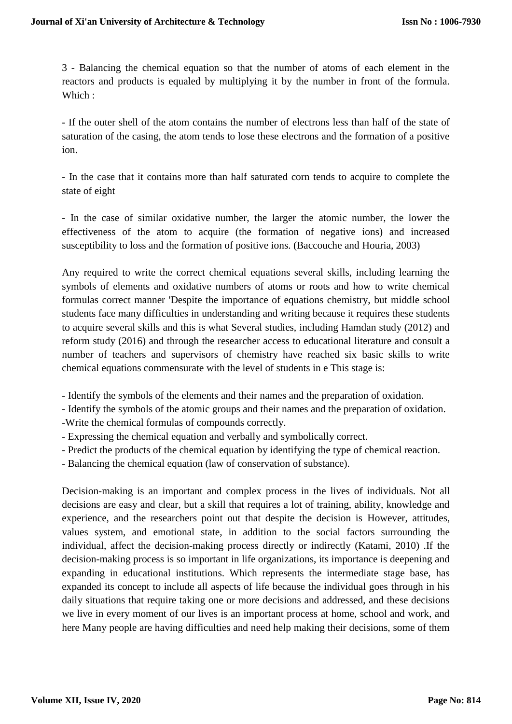3 - Balancing the chemical equation so that the number of atoms of each element in the reactors and products is equaled by multiplying it by the number in front of the formula. Which :

- If the outer shell of the atom contains the number of electrons less than half of the state of saturation of the casing, the atom tends to lose these electrons and the formation of a positive ion.

- In the case that it contains more than half saturated corn tends to acquire to complete the state of eight

- In the case of similar oxidative number, the larger the atomic number, the lower the effectiveness of the atom to acquire (the formation of negative ions) and increased susceptibility to loss and the formation of positive ions. (Baccouche and Houria, 2003)

Any required to write the correct chemical equations several skills, including learning the symbols of elements and oxidative numbers of atoms or roots and how to write chemical formulas correct manner 'Despite the importance of equations chemistry, but middle school students face many difficulties in understanding and writing because it requires these students to acquire several skills and this is what Several studies, including Hamdan study (2012) and reform study (2016) and through the researcher access to educational literature and consult a number of teachers and supervisors of chemistry have reached six basic skills to write chemical equations commensurate with the level of students in e This stage is:

- Identify the symbols of the elements and their names and the preparation of oxidation.
- Identify the symbols of the atomic groups and their names and the preparation of oxidation.
- -Write the chemical formulas of compounds correctly.
- Expressing the chemical equation and verbally and symbolically correct.
- Predict the products of the chemical equation by identifying the type of chemical reaction.
- Balancing the chemical equation (law of conservation of substance).

Decision-making is an important and complex process in the lives of individuals. Not all decisions are easy and clear, but a skill that requires a lot of training, ability, knowledge and experience, and the researchers point out that despite the decision is However, attitudes, values system, and emotional state, in addition to the social factors surrounding the individual, affect the decision-making process directly or indirectly (Katami, 2010) .If the decision-making process is so important in life organizations, its importance is deepening and expanding in educational institutions. Which represents the intermediate stage base, has expanded its concept to include all aspects of life because the individual goes through in his daily situations that require taking one or more decisions and addressed, and these decisions we live in every moment of our lives is an important process at home, school and work, and here Many people are having difficulties and need help making their decisions, some of them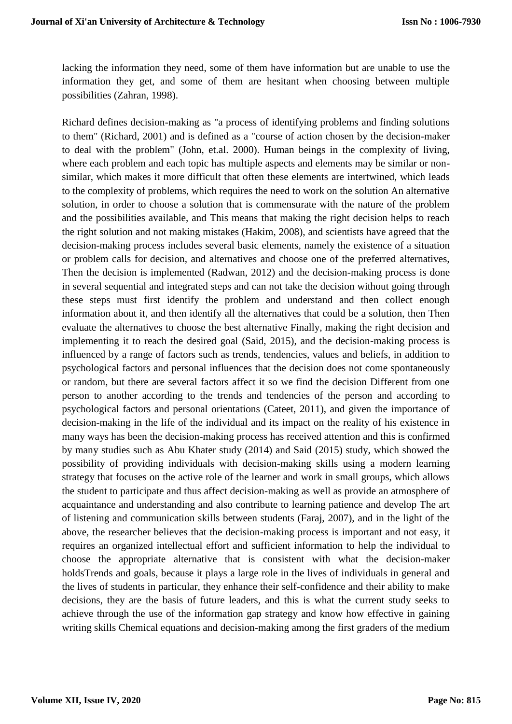lacking the information they need, some of them have information but are unable to use the information they get, and some of them are hesitant when choosing between multiple possibilities (Zahran, 1998).

Richard defines decision-making as "a process of identifying problems and finding solutions to them" (Richard, 2001) and is defined as a "course of action chosen by the decision-maker to deal with the problem" (John, et.al. 2000). Human beings in the complexity of living, where each problem and each topic has multiple aspects and elements may be similar or nonsimilar, which makes it more difficult that often these elements are intertwined, which leads to the complexity of problems, which requires the need to work on the solution An alternative solution, in order to choose a solution that is commensurate with the nature of the problem and the possibilities available, and This means that making the right decision helps to reach the right solution and not making mistakes (Hakim, 2008), and scientists have agreed that the decision-making process includes several basic elements, namely the existence of a situation or problem calls for decision, and alternatives and choose one of the preferred alternatives, Then the decision is implemented (Radwan, 2012) and the decision-making process is done in several sequential and integrated steps and can not take the decision without going through these steps must first identify the problem and understand and then collect enough information about it, and then identify all the alternatives that could be a solution, then Then evaluate the alternatives to choose the best alternative Finally, making the right decision and implementing it to reach the desired goal (Said, 2015), and the decision-making process is influenced by a range of factors such as trends, tendencies, values and beliefs, in addition to psychological factors and personal influences that the decision does not come spontaneously or random, but there are several factors affect it so we find the decision Different from one person to another according to the trends and tendencies of the person and according to psychological factors and personal orientations (Cateet, 2011), and given the importance of decision-making in the life of the individual and its impact on the reality of his existence in many ways has been the decision-making process has received attention and this is confirmed by many studies such as Abu Khater study (2014) and Said (2015) study, which showed the possibility of providing individuals with decision-making skills using a modern learning strategy that focuses on the active role of the learner and work in small groups, which allows the student to participate and thus affect decision-making as well as provide an atmosphere of acquaintance and understanding and also contribute to learning patience and develop The art of listening and communication skills between students (Faraj, 2007), and in the light of the above, the researcher believes that the decision-making process is important and not easy, it requires an organized intellectual effort and sufficient information to help the individual to choose the appropriate alternative that is consistent with what the decision-maker holdsTrends and goals, because it plays a large role in the lives of individuals in general and the lives of students in particular, they enhance their self-confidence and their ability to make decisions, they are the basis of future leaders, and this is what the current study seeks to achieve through the use of the information gap strategy and know how effective in gaining writing skills Chemical equations and decision-making among the first graders of the medium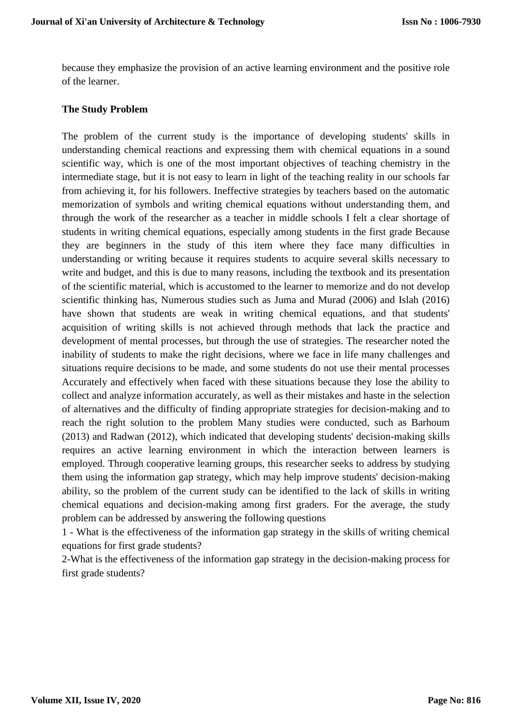because they emphasize the provision of an active learning environment and the positive role of the learner.

#### **The Study Problem**

The problem of the current study is the importance of developing students' skills in understanding chemical reactions and expressing them with chemical equations in a sound scientific way, which is one of the most important objectives of teaching chemistry in the intermediate stage, but it is not easy to learn in light of the teaching reality in our schools far from achieving it, for his followers. Ineffective strategies by teachers based on the automatic memorization of symbols and writing chemical equations without understanding them, and through the work of the researcher as a teacher in middle schools I felt a clear shortage of students in writing chemical equations, especially among students in the first grade Because they are beginners in the study of this item where they face many difficulties in understanding or writing because it requires students to acquire several skills necessary to write and budget, and this is due to many reasons, including the textbook and its presentation of the scientific material, which is accustomed to the learner to memorize and do not develop scientific thinking has, Numerous studies such as Juma and Murad (2006) and Islah (2016) have shown that students are weak in writing chemical equations, and that students' acquisition of writing skills is not achieved through methods that lack the practice and development of mental processes, but through the use of strategies. The researcher noted the inability of students to make the right decisions, where we face in life many challenges and situations require decisions to be made, and some students do not use their mental processes Accurately and effectively when faced with these situations because they lose the ability to collect and analyze information accurately, as well as their mistakes and haste in the selection of alternatives and the difficulty of finding appropriate strategies for decision-making and to reach the right solution to the problem Many studies were conducted, such as Barhoum (2013) and Radwan (2012), which indicated that developing students' decision-making skills requires an active learning environment in which the interaction between learners is employed. Through cooperative learning groups, this researcher seeks to address by studying them using the information gap strategy, which may help improve students' decision-making ability, so the problem of the current study can be identified to the lack of skills in writing chemical equations and decision-making among first graders. For the average, the study problem can be addressed by answering the following questions

1 - What is the effectiveness of the information gap strategy in the skills of writing chemical equations for first grade students?

2-What is the effectiveness of the information gap strategy in the decision-making process for first grade students?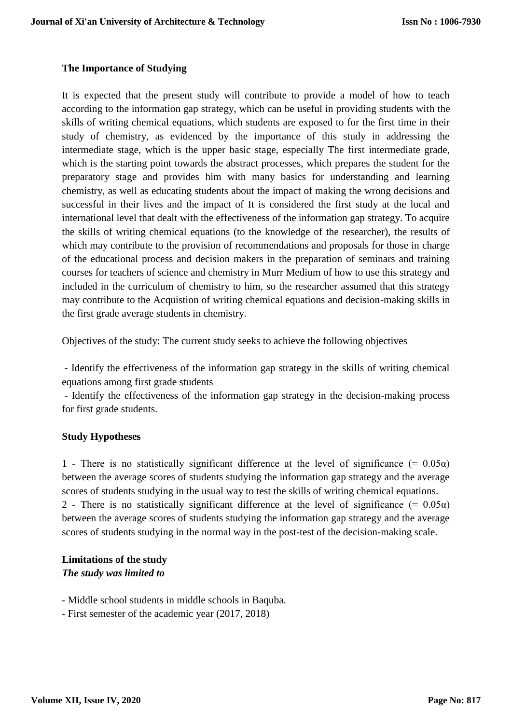### **The Importance of Studying**

It is expected that the present study will contribute to provide a model of how to teach according to the information gap strategy, which can be useful in providing students with the skills of writing chemical equations, which students are exposed to for the first time in their study of chemistry, as evidenced by the importance of this study in addressing the intermediate stage, which is the upper basic stage, especially The first intermediate grade, which is the starting point towards the abstract processes, which prepares the student for the preparatory stage and provides him with many basics for understanding and learning chemistry, as well as educating students about the impact of making the wrong decisions and successful in their lives and the impact of It is considered the first study at the local and international level that dealt with the effectiveness of the information gap strategy. To acquire the skills of writing chemical equations (to the knowledge of the researcher), the results of which may contribute to the provision of recommendations and proposals for those in charge of the educational process and decision makers in the preparation of seminars and training courses for teachers of science and chemistry in Murr Medium of how to use this strategy and included in the curriculum of chemistry to him, so the researcher assumed that this strategy may contribute to the Acquistion of writing chemical equations and decision-making skills in the first grade average students in chemistry.

Objectives of the study: The current study seeks to achieve the following objectives

- Identify the effectiveness of the information gap strategy in the skills of writing chemical equations among first grade students

- Identify the effectiveness of the information gap strategy in the decision-making process for first grade students.

#### **Study Hypotheses**

1 - There is no statistically significant difference at the level of significance (=  $0.05\alpha$ ) between the average scores of students studying the information gap strategy and the average scores of students studying in the usual way to test the skills of writing chemical equations. 2 - There is no statistically significant difference at the level of significance (=  $0.05\alpha$ ) between the average scores of students studying the information gap strategy and the average scores of students studying in the normal way in the post-test of the decision-making scale.

### **Limitations of the study** *The study was limited to*

- Middle school students in middle schools in Baquba.

- First semester of the academic year (2017, 2018)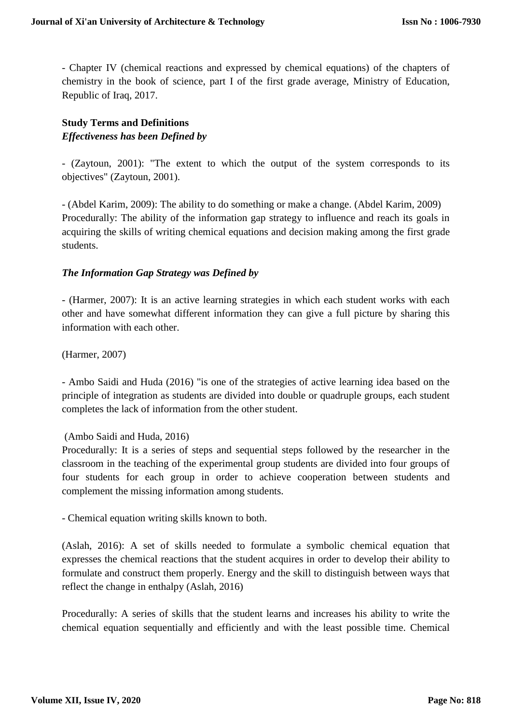- Chapter IV (chemical reactions and expressed by chemical equations) of the chapters of chemistry in the book of science, part I of the first grade average, Ministry of Education, Republic of Iraq, 2017.

## **Study Terms and Definitions** *Effectiveness has been Defined by*

- (Zaytoun, 2001): "The extent to which the output of the system corresponds to its objectives" (Zaytoun, 2001).

- (Abdel Karim, 2009): The ability to do something or make a change. (Abdel Karim, 2009) Procedurally: The ability of the information gap strategy to influence and reach its goals in acquiring the skills of writing chemical equations and decision making among the first grade students.

#### *The Information Gap Strategy was Defined by*

- (Harmer, 2007): It is an active learning strategies in which each student works with each other and have somewhat different information they can give a full picture by sharing this information with each other.

(Harmer, 2007)

- Ambo Saidi and Huda (2016) "is one of the strategies of active learning idea based on the principle of integration as students are divided into double or quadruple groups, each student completes the lack of information from the other student.

### (Ambo Saidi and Huda, 2016)

Procedurally: It is a series of steps and sequential steps followed by the researcher in the classroom in the teaching of the experimental group students are divided into four groups of four students for each group in order to achieve cooperation between students and complement the missing information among students.

- Chemical equation writing skills known to both.

(Aslah, 2016): A set of skills needed to formulate a symbolic chemical equation that expresses the chemical reactions that the student acquires in order to develop their ability to formulate and construct them properly. Energy and the skill to distinguish between ways that reflect the change in enthalpy (Aslah, 2016)

Procedurally: A series of skills that the student learns and increases his ability to write the chemical equation sequentially and efficiently and with the least possible time. Chemical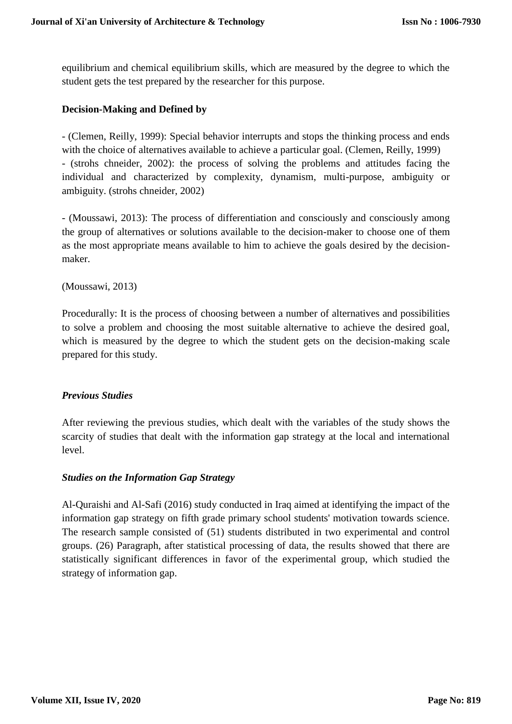equilibrium and chemical equilibrium skills, which are measured by the degree to which the student gets the test prepared by the researcher for this purpose.

#### **Decision-Making and Defined by**

- (Clemen, Reilly, 1999): Special behavior interrupts and stops the thinking process and ends with the choice of alternatives available to achieve a particular goal. (Clemen, Reilly, 1999) - (strohs chneider, 2002): the process of solving the problems and attitudes facing the individual and characterized by complexity, dynamism, multi-purpose, ambiguity or ambiguity. (strohs chneider, 2002)

- (Moussawi, 2013): The process of differentiation and consciously and consciously among the group of alternatives or solutions available to the decision-maker to choose one of them as the most appropriate means available to him to achieve the goals desired by the decisionmaker.

(Moussawi, 2013)

Procedurally: It is the process of choosing between a number of alternatives and possibilities to solve a problem and choosing the most suitable alternative to achieve the desired goal, which is measured by the degree to which the student gets on the decision-making scale prepared for this study.

#### *Previous Studies*

After reviewing the previous studies, which dealt with the variables of the study shows the scarcity of studies that dealt with the information gap strategy at the local and international level.

#### *Studies on the Information Gap Strategy*

Al-Quraishi and Al-Safi (2016) study conducted in Iraq aimed at identifying the impact of the information gap strategy on fifth grade primary school students' motivation towards science. The research sample consisted of (51) students distributed in two experimental and control groups. (26) Paragraph, after statistical processing of data, the results showed that there are statistically significant differences in favor of the experimental group, which studied the strategy of information gap.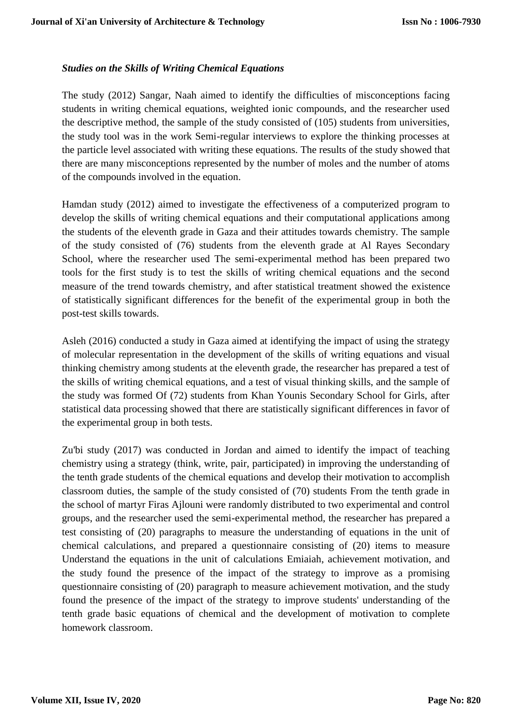### *Studies on the Skills of Writing Chemical Equations*

The study (2012) Sangar, Naah aimed to identify the difficulties of misconceptions facing students in writing chemical equations, weighted ionic compounds, and the researcher used the descriptive method, the sample of the study consisted of (105) students from universities, the study tool was in the work Semi-regular interviews to explore the thinking processes at the particle level associated with writing these equations. The results of the study showed that there are many misconceptions represented by the number of moles and the number of atoms of the compounds involved in the equation.

Hamdan study (2012) aimed to investigate the effectiveness of a computerized program to develop the skills of writing chemical equations and their computational applications among the students of the eleventh grade in Gaza and their attitudes towards chemistry. The sample of the study consisted of (76) students from the eleventh grade at Al Rayes Secondary School, where the researcher used The semi-experimental method has been prepared two tools for the first study is to test the skills of writing chemical equations and the second measure of the trend towards chemistry, and after statistical treatment showed the existence of statistically significant differences for the benefit of the experimental group in both the post-test skills towards.

Asleh (2016) conducted a study in Gaza aimed at identifying the impact of using the strategy of molecular representation in the development of the skills of writing equations and visual thinking chemistry among students at the eleventh grade, the researcher has prepared a test of the skills of writing chemical equations, and a test of visual thinking skills, and the sample of the study was formed Of (72) students from Khan Younis Secondary School for Girls, after statistical data processing showed that there are statistically significant differences in favor of the experimental group in both tests.

Zu'bi study (2017) was conducted in Jordan and aimed to identify the impact of teaching chemistry using a strategy (think, write, pair, participated) in improving the understanding of the tenth grade students of the chemical equations and develop their motivation to accomplish classroom duties, the sample of the study consisted of (70) students From the tenth grade in the school of martyr Firas Ajlouni were randomly distributed to two experimental and control groups, and the researcher used the semi-experimental method, the researcher has prepared a test consisting of (20) paragraphs to measure the understanding of equations in the unit of chemical calculations, and prepared a questionnaire consisting of (20) items to measure Understand the equations in the unit of calculations Emiaiah, achievement motivation, and the study found the presence of the impact of the strategy to improve as a promising questionnaire consisting of (20) paragraph to measure achievement motivation, and the study found the presence of the impact of the strategy to improve students' understanding of the tenth grade basic equations of chemical and the development of motivation to complete homework classroom.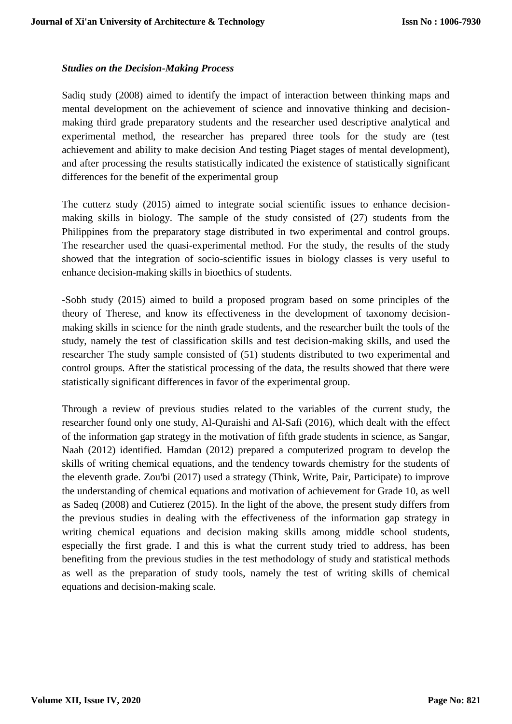#### *Studies on the Decision-Making Process*

Sadiq study (2008) aimed to identify the impact of interaction between thinking maps and mental development on the achievement of science and innovative thinking and decisionmaking third grade preparatory students and the researcher used descriptive analytical and experimental method, the researcher has prepared three tools for the study are (test achievement and ability to make decision And testing Piaget stages of mental development), and after processing the results statistically indicated the existence of statistically significant differences for the benefit of the experimental group

The cutterz study (2015) aimed to integrate social scientific issues to enhance decisionmaking skills in biology. The sample of the study consisted of (27) students from the Philippines from the preparatory stage distributed in two experimental and control groups. The researcher used the quasi-experimental method. For the study, the results of the study showed that the integration of socio-scientific issues in biology classes is very useful to enhance decision-making skills in bioethics of students.

-Sobh study (2015) aimed to build a proposed program based on some principles of the theory of Therese, and know its effectiveness in the development of taxonomy decisionmaking skills in science for the ninth grade students, and the researcher built the tools of the study, namely the test of classification skills and test decision-making skills, and used the researcher The study sample consisted of (51) students distributed to two experimental and control groups. After the statistical processing of the data, the results showed that there were statistically significant differences in favor of the experimental group.

Through a review of previous studies related to the variables of the current study, the researcher found only one study, Al-Quraishi and Al-Safi (2016), which dealt with the effect of the information gap strategy in the motivation of fifth grade students in science, as Sangar, Naah (2012) identified. Hamdan (2012) prepared a computerized program to develop the skills of writing chemical equations, and the tendency towards chemistry for the students of the eleventh grade. Zou'bi (2017) used a strategy (Think, Write, Pair, Participate) to improve the understanding of chemical equations and motivation of achievement for Grade 10, as well as Sadeq (2008) and Cutierez (2015). In the light of the above, the present study differs from the previous studies in dealing with the effectiveness of the information gap strategy in writing chemical equations and decision making skills among middle school students, especially the first grade. I and this is what the current study tried to address, has been benefiting from the previous studies in the test methodology of study and statistical methods as well as the preparation of study tools, namely the test of writing skills of chemical equations and decision-making scale.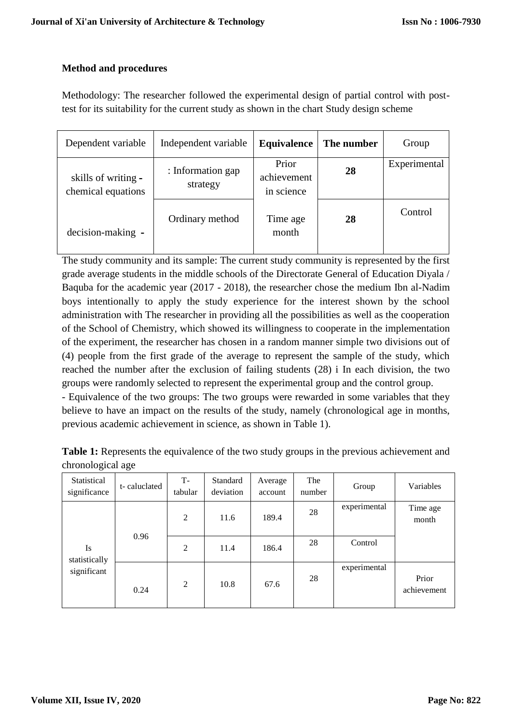### **Method and procedures**

Methodology: The researcher followed the experimental design of partial control with posttest for its suitability for the current study as shown in the chart Study design scheme

| Dependent variable                        | Independent variable          | Equivalence                        | The number | Group        |
|-------------------------------------------|-------------------------------|------------------------------------|------------|--------------|
| skills of writing -<br>chemical equations | : Information gap<br>strategy | Prior<br>achievement<br>in science | 28         | Experimental |
| decision-making -                         | Ordinary method               | Time age<br>month                  | 28         | Control      |

The study community and its sample: The current study community is represented by the first grade average students in the middle schools of the Directorate General of Education Diyala / Baquba for the academic year (2017 - 2018), the researcher chose the medium Ibn al-Nadim boys intentionally to apply the study experience for the interest shown by the school administration with The researcher in providing all the possibilities as well as the cooperation of the School of Chemistry, which showed its willingness to cooperate in the implementation of the experiment, the researcher has chosen in a random manner simple two divisions out of (4) people from the first grade of the average to represent the sample of the study, which reached the number after the exclusion of failing students (28) i In each division, the two groups were randomly selected to represent the experimental group and the control group.

- Equivalence of the two groups: The two groups were rewarded in some variables that they believe to have an impact on the results of the study, namely (chronological age in months, previous academic achievement in science, as shown in Table 1).

| <b>Table 1:</b> Represents the equivalence of the two study groups in the previous achievement and |  |  |
|----------------------------------------------------------------------------------------------------|--|--|
| chronological age                                                                                  |  |  |

| Statistical<br>significance | t-caluclated | T-<br>tabular  | Standard<br>deviation | Average<br>account | The<br>number | Group        | Variables            |
|-----------------------------|--------------|----------------|-----------------------|--------------------|---------------|--------------|----------------------|
|                             |              | $\overline{2}$ | 11.6                  | 189.4              | 28            | experimental | Time age<br>month    |
| Is<br>statistically         | 0.96         | $\overline{2}$ | 11.4                  | 186.4              | 28            | Control      |                      |
| significant                 | 0.24         | $\overline{2}$ | 10.8                  | 67.6               | 28            | experimental | Prior<br>achievement |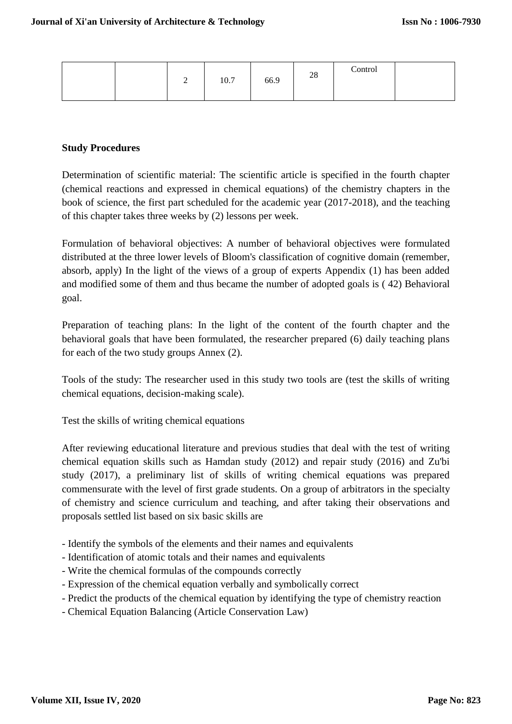|  | ∸ | 10.7 | 66.9 | 28 | Control |  |
|--|---|------|------|----|---------|--|
|--|---|------|------|----|---------|--|

### **Study Procedures**

Determination of scientific material: The scientific article is specified in the fourth chapter (chemical reactions and expressed in chemical equations) of the chemistry chapters in the book of science, the first part scheduled for the academic year (2017-2018), and the teaching of this chapter takes three weeks by (2) lessons per week.

Formulation of behavioral objectives: A number of behavioral objectives were formulated distributed at the three lower levels of Bloom's classification of cognitive domain (remember, absorb, apply) In the light of the views of a group of experts Appendix (1) has been added and modified some of them and thus became the number of adopted goals is ( 42) Behavioral goal.

Preparation of teaching plans: In the light of the content of the fourth chapter and the behavioral goals that have been formulated, the researcher prepared (6) daily teaching plans for each of the two study groups Annex (2).

Tools of the study: The researcher used in this study two tools are (test the skills of writing chemical equations, decision-making scale).

Test the skills of writing chemical equations

After reviewing educational literature and previous studies that deal with the test of writing chemical equation skills such as Hamdan study (2012) and repair study (2016) and Zu'bi study (2017), a preliminary list of skills of writing chemical equations was prepared commensurate with the level of first grade students. On a group of arbitrators in the specialty of chemistry and science curriculum and teaching, and after taking their observations and proposals settled list based on six basic skills are

- Identify the symbols of the elements and their names and equivalents
- Identification of atomic totals and their names and equivalents
- Write the chemical formulas of the compounds correctly
- Expression of the chemical equation verbally and symbolically correct
- Predict the products of the chemical equation by identifying the type of chemistry reaction
- Chemical Equation Balancing (Article Conservation Law)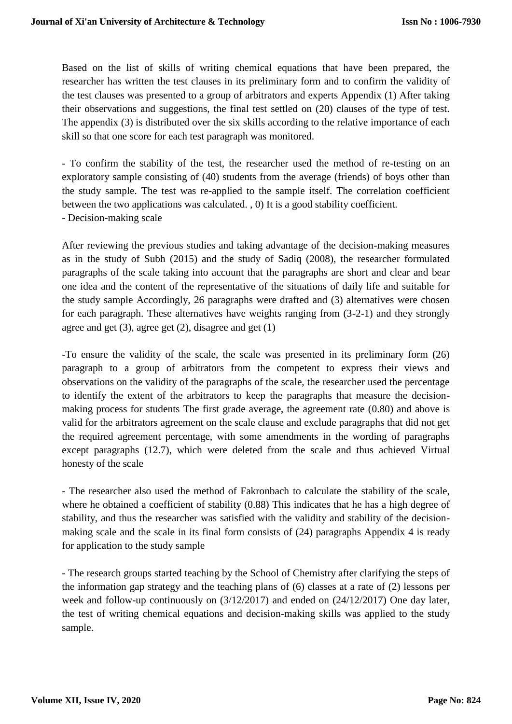Based on the list of skills of writing chemical equations that have been prepared, the researcher has written the test clauses in its preliminary form and to confirm the validity of the test clauses was presented to a group of arbitrators and experts Appendix (1) After taking their observations and suggestions, the final test settled on (20) clauses of the type of test. The appendix (3) is distributed over the six skills according to the relative importance of each skill so that one score for each test paragraph was monitored.

- To confirm the stability of the test, the researcher used the method of re-testing on an exploratory sample consisting of (40) students from the average (friends) of boys other than the study sample. The test was re-applied to the sample itself. The correlation coefficient between the two applications was calculated. , 0) It is a good stability coefficient. - Decision-making scale

After reviewing the previous studies and taking advantage of the decision-making measures as in the study of Subh (2015) and the study of Sadiq (2008), the researcher formulated paragraphs of the scale taking into account that the paragraphs are short and clear and bear one idea and the content of the representative of the situations of daily life and suitable for the study sample Accordingly, 26 paragraphs were drafted and (3) alternatives were chosen for each paragraph. These alternatives have weights ranging from (3-2-1) and they strongly agree and get (3), agree get (2), disagree and get (1)

-To ensure the validity of the scale, the scale was presented in its preliminary form (26) paragraph to a group of arbitrators from the competent to express their views and observations on the validity of the paragraphs of the scale, the researcher used the percentage to identify the extent of the arbitrators to keep the paragraphs that measure the decisionmaking process for students The first grade average, the agreement rate (0.80) and above is valid for the arbitrators agreement on the scale clause and exclude paragraphs that did not get the required agreement percentage, with some amendments in the wording of paragraphs except paragraphs (12.7), which were deleted from the scale and thus achieved Virtual honesty of the scale

- The researcher also used the method of Fakronbach to calculate the stability of the scale, where he obtained a coefficient of stability  $(0.88)$  This indicates that he has a high degree of stability, and thus the researcher was satisfied with the validity and stability of the decisionmaking scale and the scale in its final form consists of (24) paragraphs Appendix 4 is ready for application to the study sample

- The research groups started teaching by the School of Chemistry after clarifying the steps of the information gap strategy and the teaching plans of (6) classes at a rate of (2) lessons per week and follow-up continuously on (3/12/2017) and ended on (24/12/2017) One day later, the test of writing chemical equations and decision-making skills was applied to the study sample.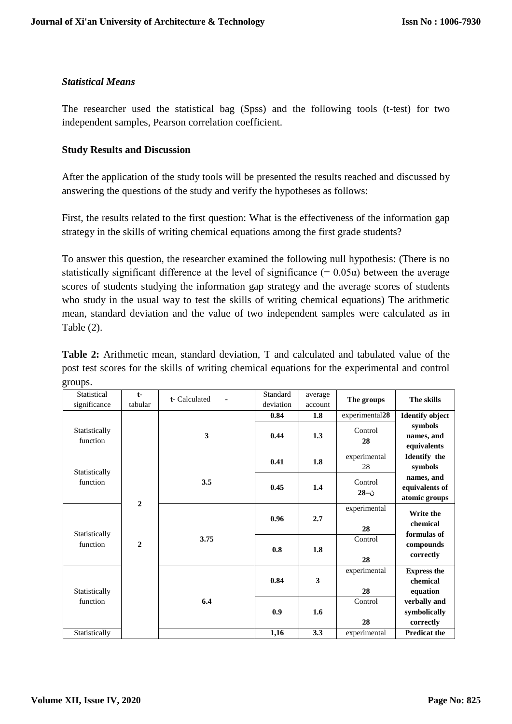### *Statistical Means*

The researcher used the statistical bag (Spss) and the following tools (t-test) for two independent samples, Pearson correlation coefficient.

#### **Study Results and Discussion**

After the application of the study tools will be presented the results reached and discussed by answering the questions of the study and verify the hypotheses as follows:

First, the results related to the first question: What is the effectiveness of the information gap strategy in the skills of writing chemical equations among the first grade students?

To answer this question, the researcher examined the following null hypothesis: (There is no statistically significant difference at the level of significance (=  $0.05\alpha$ ) between the average scores of students studying the information gap strategy and the average scores of students who study in the usual way to test the skills of writing chemical equations) The arithmetic mean, standard deviation and the value of two independent samples were calculated as in Table (2).

**Table 2:** Arithmetic mean, standard deviation, T and calculated and tabulated value of the post test scores for the skills of writing chemical equations for the experimental and control groups.

| Statistical<br>significance | $t-$<br>tabular | t- Calculated<br>$\blacksquare$ | Standard<br>deviation | average<br>account | The groups         | The skills                                    |               |                        |
|-----------------------------|-----------------|---------------------------------|-----------------------|--------------------|--------------------|-----------------------------------------------|---------------|------------------------|
|                             |                 |                                 | 0.84                  | 1.8                | experimental28     | <b>Identify object</b>                        |               |                        |
| Statistically<br>function   |                 | 3                               | 0.44                  | 1.3                | Control<br>28      | symbols<br>names, and<br>equivalents          |               |                        |
| Statistically               |                 |                                 | 0.41                  | 1.8                | experimental<br>28 | <b>Identify</b> the<br>symbols                |               |                        |
| function                    | $\overline{2}$  | 3.5                             | 0.45                  | 1.4                | Control<br>ن=28    | names, and<br>equivalents of<br>atomic groups |               |                        |
| Statistically               |                 |                                 | 0.96                  | 2.7                | experimental<br>28 | Write the<br>chemical<br>formulas of          |               |                        |
| function                    | $\mathbf{2}$    |                                 |                       | 3.75               | 0.8                | 1.8                                           | Control<br>28 | compounds<br>correctly |
| Statistically               |                 |                                 | 0.84                  | 3                  | experimental<br>28 | <b>Express the</b><br>chemical<br>equation    |               |                        |
| function                    |                 | 6.4                             | 0.9                   | 1.6                | Control<br>28      | verbally and<br>symbolically<br>correctly     |               |                        |
| Statistically               |                 |                                 | 1,16                  | 3.3                | experimental       | <b>Predicat the</b>                           |               |                        |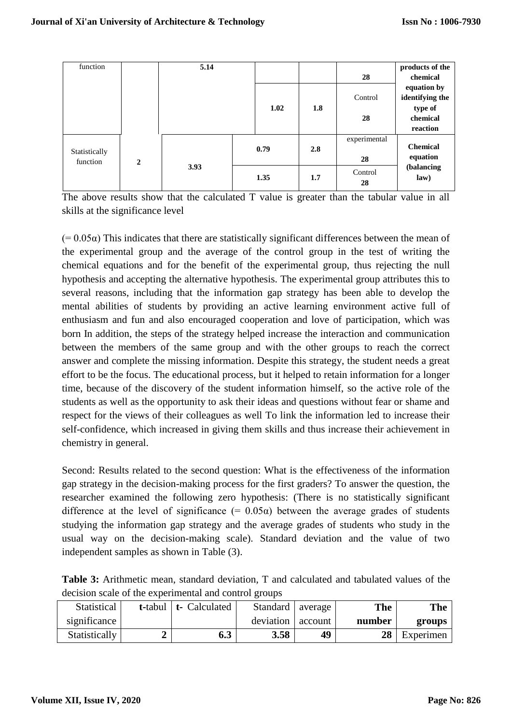| function      |                | 5.14 |      |     |              | products of the |
|---------------|----------------|------|------|-----|--------------|-----------------|
|               |                |      |      |     | 28           | chemical        |
|               |                |      |      |     |              | equation by     |
|               |                |      |      |     | Control      | identifying the |
|               |                |      | 1.02 | 1.8 |              | type of         |
|               |                |      |      |     | 28           | chemical        |
|               |                |      |      |     |              | reaction        |
|               |                |      |      |     | experimental |                 |
| Statistically |                |      | 0.79 | 2.8 |              | <b>Chemical</b> |
| function      | $\overline{2}$ |      |      |     | 28           | equation        |
|               |                | 3.93 |      |     | Control      | (balancing      |
|               |                |      | 1.35 | 1.7 | 28           | law)            |
|               |                |      |      |     |              |                 |

The above results show that the calculated T value is greater than the tabular value in all skills at the significance level

 $(= 0.05\alpha)$  This indicates that there are statistically significant differences between the mean of the experimental group and the average of the control group in the test of writing the chemical equations and for the benefit of the experimental group, thus rejecting the null hypothesis and accepting the alternative hypothesis. The experimental group attributes this to several reasons, including that the information gap strategy has been able to develop the mental abilities of students by providing an active learning environment active full of enthusiasm and fun and also encouraged cooperation and love of participation, which was born In addition, the steps of the strategy helped increase the interaction and communication between the members of the same group and with the other groups to reach the correct answer and complete the missing information. Despite this strategy, the student needs a great effort to be the focus. The educational process, but it helped to retain information for a longer time, because of the discovery of the student information himself, so the active role of the students as well as the opportunity to ask their ideas and questions without fear or shame and respect for the views of their colleagues as well To link the information led to increase their self-confidence, which increased in giving them skills and thus increase their achievement in chemistry in general.

Second: Results related to the second question: What is the effectiveness of the information gap strategy in the decision-making process for the first graders? To answer the question, the researcher examined the following zero hypothesis: (There is no statistically significant difference at the level of significance (=  $0.05\alpha$ ) between the average grades of students studying the information gap strategy and the average grades of students who study in the usual way on the decision-making scale). Standard deviation and the value of two independent samples as shown in Table (3).

**Table 3:** Arithmetic mean, standard deviation, T and calculated and tabulated values of the decision scale of the experimental and control groups

| Statistical   | t-tabul   t- Calculated | Standard   average |         | <b>The</b> | <b>The</b> |
|---------------|-------------------------|--------------------|---------|------------|------------|
| significance  |                         | deviation          | account | number     | groups     |
| Statistically | 6.3                     | 3.58               | 49      | 28         | Experimen  |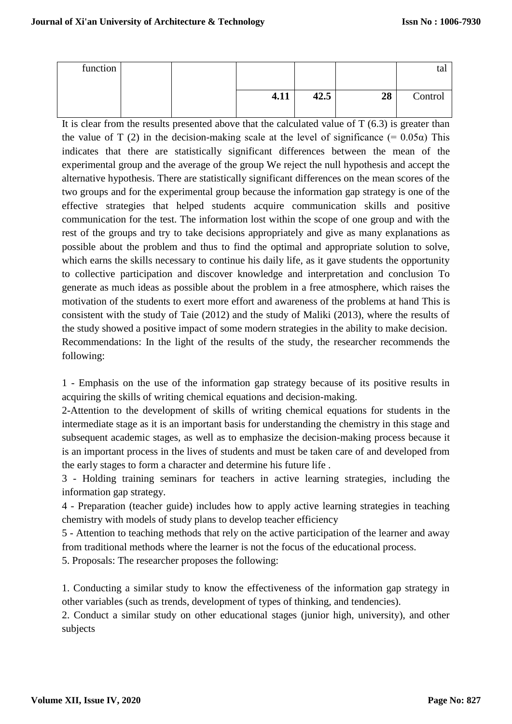| function |  |      |      |    | tal     |
|----------|--|------|------|----|---------|
|          |  |      |      |    |         |
|          |  | 4.11 | 42.5 | 28 | Control |
|          |  |      |      |    |         |

It is clear from the results presented above that the calculated value of  $T(6.3)$  is greater than the value of T (2) in the decision-making scale at the level of significance (=  $0.05\alpha$ ) This indicates that there are statistically significant differences between the mean of the experimental group and the average of the group We reject the null hypothesis and accept the alternative hypothesis. There are statistically significant differences on the mean scores of the two groups and for the experimental group because the information gap strategy is one of the effective strategies that helped students acquire communication skills and positive communication for the test. The information lost within the scope of one group and with the rest of the groups and try to take decisions appropriately and give as many explanations as possible about the problem and thus to find the optimal and appropriate solution to solve, which earns the skills necessary to continue his daily life, as it gave students the opportunity to collective participation and discover knowledge and interpretation and conclusion To generate as much ideas as possible about the problem in a free atmosphere, which raises the motivation of the students to exert more effort and awareness of the problems at hand This is consistent with the study of Taie (2012) and the study of Maliki (2013), where the results of the study showed a positive impact of some modern strategies in the ability to make decision. Recommendations: In the light of the results of the study, the researcher recommends the following:

1 - Emphasis on the use of the information gap strategy because of its positive results in acquiring the skills of writing chemical equations and decision-making.

2-Attention to the development of skills of writing chemical equations for students in the intermediate stage as it is an important basis for understanding the chemistry in this stage and subsequent academic stages, as well as to emphasize the decision-making process because it is an important process in the lives of students and must be taken care of and developed from the early stages to form a character and determine his future life .

3 - Holding training seminars for teachers in active learning strategies, including the information gap strategy.

4 - Preparation (teacher guide) includes how to apply active learning strategies in teaching chemistry with models of study plans to develop teacher efficiency

5 - Attention to teaching methods that rely on the active participation of the learner and away from traditional methods where the learner is not the focus of the educational process.

5. Proposals: The researcher proposes the following:

1. Conducting a similar study to know the effectiveness of the information gap strategy in other variables (such as trends, development of types of thinking, and tendencies).

2. Conduct a similar study on other educational stages (junior high, university), and other subjects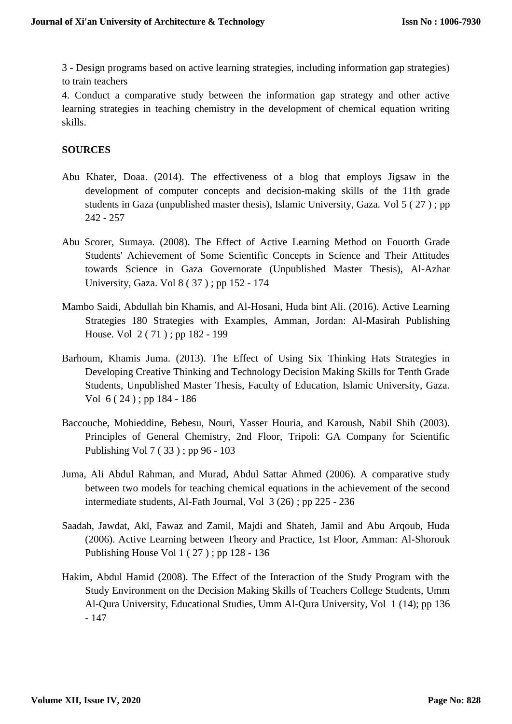3 - Design programs based on active learning strategies, including information gap strategies) to train teachers

4. Conduct a comparative study between the information gap strategy and other active learning strategies in teaching chemistry in the development of chemical equation writing skills.

#### **SOURCES**

- Abu Khater, Doaa. (2014). The effectiveness of a blog that employs Jigsaw in the development of computer concepts and decision-making skills of the 11th grade students in Gaza (unpublished master thesis), Islamic University, Gaza. Vol 5 ( 27 ) ; pp 242 - 257
- Abu Scorer, Sumaya. (2008). The Effect of Active Learning Method on Fouorth Grade Students' Achievement of Some Scientific Concepts in Science and Their Attitudes towards Science in Gaza Governorate (Unpublished Master Thesis), Al-Azhar University, Gaza. Vol 8 ( 37 ) ; pp 152 - 174
- Mambo Saidi, Abdullah bin Khamis, and Al-Hosani, Huda bint Ali. (2016). Active Learning Strategies 180 Strategies with Examples, Amman, Jordan: Al-Masirah Publishing House. Vol 2 ( 71 ) ; pp 182 - 199
- Barhoum, Khamis Juma. (2013). The Effect of Using Six Thinking Hats Strategies in Developing Creative Thinking and Technology Decision Making Skills for Tenth Grade Students, Unpublished Master Thesis, Faculty of Education, Islamic University, Gaza. Vol 6 ( 24 ) ; pp 184 - 186
- Baccouche, Mohieddine, Bebesu, Nouri, Yasser Houria, and Karoush, Nabil Shih (2003). Principles of General Chemistry, 2nd Floor, Tripoli: GA Company for Scientific Publishing Vol 7 ( 33 ) ; pp 96 - 103
- Juma, Ali Abdul Rahman, and Murad, Abdul Sattar Ahmed (2006). A comparative study between two models for teaching chemical equations in the achievement of the second intermediate students, Al-Fath Journal, Vol 3 (26) ; pp 225 - 236
- Saadah, Jawdat, Akl, Fawaz and Zamil, Majdi and Shateh, Jamil and Abu Arqoub, Huda (2006). Active Learning between Theory and Practice, 1st Floor, Amman: Al-Shorouk Publishing House Vol 1 ( 27 ) ; pp 128 - 136
- Hakim, Abdul Hamid (2008). The Effect of the Interaction of the Study Program with the Study Environment on the Decision Making Skills of Teachers College Students, Umm Al-Qura University, Educational Studies, Umm Al-Qura University, Vol 1 (14); pp 136 - 147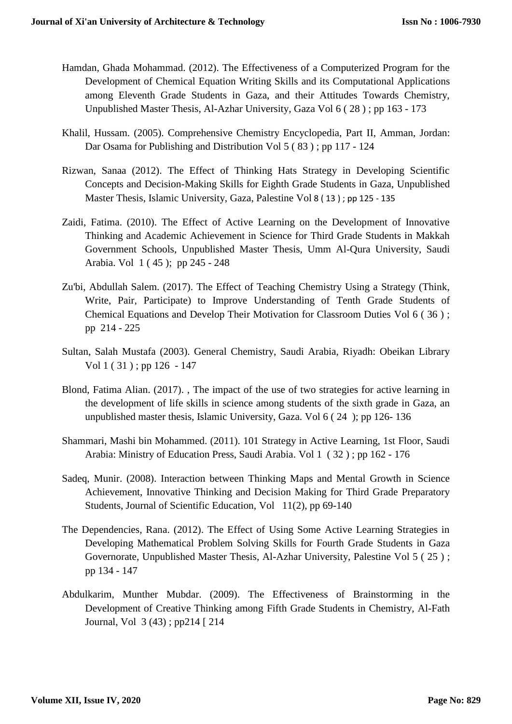- Hamdan, Ghada Mohammad. (2012). The Effectiveness of a Computerized Program for the Development of Chemical Equation Writing Skills and its Computational Applications among Eleventh Grade Students in Gaza, and their Attitudes Towards Chemistry, Unpublished Master Thesis, Al-Azhar University, Gaza Vol 6 ( 28 ) ; pp 163 - 173
- Khalil, Hussam. (2005). Comprehensive Chemistry Encyclopedia, Part II, Amman, Jordan: Dar Osama for Publishing and Distribution Vol 5 ( 83 ) ; pp 117 - 124
- Rizwan, Sanaa (2012). The Effect of Thinking Hats Strategy in Developing Scientific Concepts and Decision-Making Skills for Eighth Grade Students in Gaza, Unpublished Master Thesis, Islamic University, Gaza, Palestine Vol 8 ( 13 ) ; pp 125 - 135
- Zaidi, Fatima. (2010). The Effect of Active Learning on the Development of Innovative Thinking and Academic Achievement in Science for Third Grade Students in Makkah Government Schools, Unpublished Master Thesis, Umm Al-Qura University, Saudi Arabia. Vol 1 ( 45 ); pp 245 - 248
- Zu'bi, Abdullah Salem. (2017). The Effect of Teaching Chemistry Using a Strategy (Think, Write, Pair, Participate) to Improve Understanding of Tenth Grade Students of Chemical Equations and Develop Their Motivation for Classroom Duties Vol 6 ( 36 ) ; pp 214 - 225
- Sultan, Salah Mustafa (2003). General Chemistry, Saudi Arabia, Riyadh: Obeikan Library Vol 1 ( 31 ) ; pp 126 - 147
- Blond, Fatima Alian. (2017). , The impact of the use of two strategies for active learning in the development of life skills in science among students of the sixth grade in Gaza, an unpublished master thesis, Islamic University, Gaza. Vol 6 ( 24 ); pp 126- 136
- Shammari, Mashi bin Mohammed. (2011). 101 Strategy in Active Learning, 1st Floor, Saudi Arabia: Ministry of Education Press, Saudi Arabia. Vol 1 ( 32 ) ; pp 162 - 176
- Sadeq, Munir. (2008). Interaction between Thinking Maps and Mental Growth in Science Achievement, Innovative Thinking and Decision Making for Third Grade Preparatory Students, Journal of Scientific Education, Vol 11(2), pp 69-140
- The Dependencies, Rana. (2012). The Effect of Using Some Active Learning Strategies in Developing Mathematical Problem Solving Skills for Fourth Grade Students in Gaza Governorate, Unpublished Master Thesis, Al-Azhar University, Palestine Vol 5 ( 25 ) ; pp 134 - 147
- Abdulkarim, Munther Mubdar. (2009). The Effectiveness of Brainstorming in the Development of Creative Thinking among Fifth Grade Students in Chemistry, Al-Fath Journal, Vol 3 (43) ; pp214 [ 214